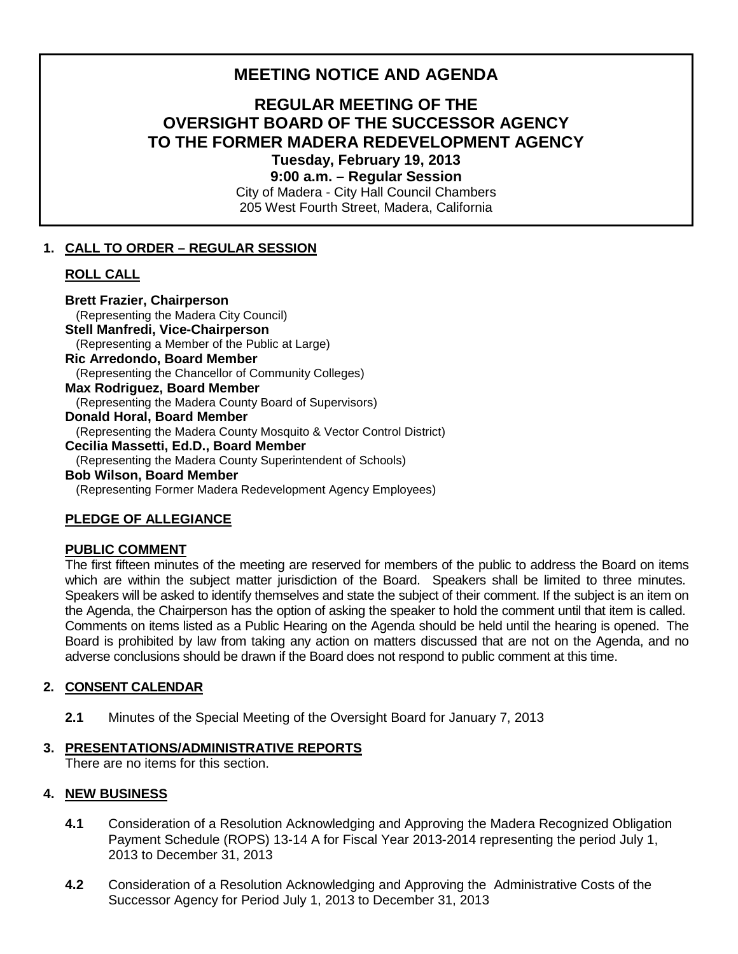# **MEETING NOTICE AND AGENDA**

# **REGULAR MEETING OF THE OVERSIGHT BOARD OF THE SUCCESSOR AGENCY TO THE FORMER MADERA REDEVELOPMENT AGENCY Tuesday, February 19, 2013**

**9:00 a.m. – Regular Session**

City of Madera - City Hall Council Chambers 205 West Fourth Street, Madera, California

# **1. CALL TO ORDER – REGULAR SESSION**

## **ROLL CALL**

**Brett Frazier, Chairperson** (Representing the Madera City Council) **Stell Manfredi, Vice-Chairperson** (Representing a Member of the Public at Large) **Ric Arredondo, Board Member** (Representing the Chancellor of Community Colleges) **Max Rodriguez, Board Member**  (Representing the Madera County Board of Supervisors) **Donald Horal, Board Member** (Representing the Madera County Mosquito & Vector Control District) **Cecilia Massetti, Ed.D., Board Member** (Representing the Madera County Superintendent of Schools) **Bob Wilson, Board Member** 

(Representing Former Madera Redevelopment Agency Employees)

## **PLEDGE OF ALLEGIANCE**

#### **PUBLIC COMMENT**

The first fifteen minutes of the meeting are reserved for members of the public to address the Board on items which are within the subject matter jurisdiction of the Board. Speakers shall be limited to three minutes. Speakers will be asked to identify themselves and state the subject of their comment. If the subject is an item on the Agenda, the Chairperson has the option of asking the speaker to hold the comment until that item is called. Comments on items listed as a Public Hearing on the Agenda should be held until the hearing is opened. The Board is prohibited by law from taking any action on matters discussed that are not on the Agenda, and no adverse conclusions should be drawn if the Board does not respond to public comment at this time.

## **2. CONSENT CALENDAR**

**2.1** Minutes of the Special Meeting of the Oversight Board for January 7, 2013

## **3. PRESENTATIONS/ADMINISTRATIVE REPORTS**

There are no items for this section.

## **4. NEW BUSINESS**

- **4.1** Consideration of a Resolution Acknowledging and Approving the Madera Recognized Obligation Payment Schedule (ROPS) 13-14 A for Fiscal Year 2013-2014 representing the period July 1, 2013 to December 31, 2013
- **4.2** Consideration of a Resolution Acknowledging and Approving the Administrative Costs of the Successor Agency for Period July 1, 2013 to December 31, 2013